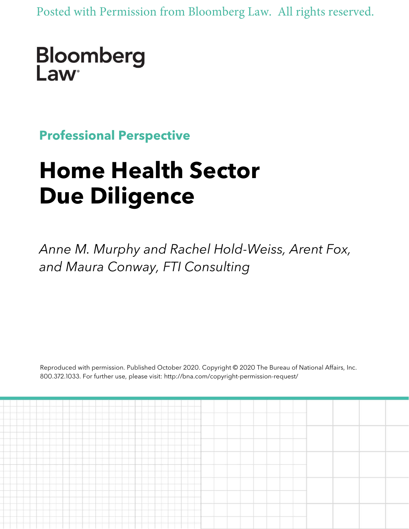Posted with Permission from Bloomberg Law. All rights reserved.

## Bloomberg Law<sup>®</sup>

**Professional Perspective**

# **Home Health Sector Due Diligence**

*Anne M. Murphy and Rachel Hold-Weiss, Arent Fox, and Maura Conway, FTI Consulting*

Reproduced with permission. Published October 2020. Copyright © 2020 The Bureau of National Affairs, Inc. 800.372.1033. For further use, please visit: http://bna.com/copyright-permission-request/

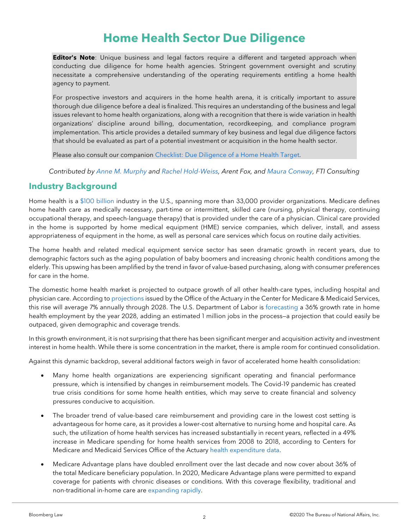### **Home Health Sector Due Diligence**

**Editor's Note**: Unique business and legal factors require a different and targeted approach when conducting due diligence for home health agencies. Stringent government oversight and scrutiny necessitate a comprehensive understanding of the operating requirements entitling a home health agency to payment.

For prospective investors and acquirers in the home health arena, it is critically important to assure thorough due diligence before a deal is finalized. This requires an understanding of the business and legal issues relevant to home health organizations, along with a recognition that there is wide variation in health organizations' discipline around billing, documentation, recordkeeping, and compliance program implementation. This article provides a detailed summary of key business and legal due diligence factors that should be evaluated as part of a potential investment or acquisition in the home health sector.

Please also consult our companion [Checklist: Due Diligence of a Home Health Target.](https://www.bloomberglaw.com/product/blaw/document/X3OR5B1C000000)

*Contributed by [Anne M. Murphy](https://www.arentfox.com/attorneys/anne-murphy) and [Rachel Hold-Weiss,](https://www.arentfox.com/attorneys/rachel-hold-weiss) Arent Fox, and [Maura Conway,](https://www.fticonsulting.com/our-people/maura-conway) FTI Consulting*

#### **Industry Background**

Home health is a [\\$100 billion](https://homehealthcarenews.com/2019/02/home-health-spending-rate-projected-to-surpass-all-other-care-categories/) industry in the U.S., spanning more than 33,000 provider organizations. Medicare defines home health care as medically necessary, part-time or intermittent, skilled care (nursing, physical therapy, continuing occupational therapy, and speech-language therapy) that is provided under the care of a physician. Clinical care provided in the home is supported by home medical equipment (HME) service companies, which deliver, install, and assess appropriateness of equipment in the home, as well as personal care services which focus on routine daily activities.

The home health and related medical equipment service sector has seen dramatic growth in recent years, due to demographic factors such as the aging population of baby boomers and increasing chronic health conditions among the elderly. This upswing has been amplified by the trend in favor of value-based purchasing, along with consumer preferences for care in the home.

The domestic home health market is projected to outpace growth of all other health-care types, including hospital and physician care. According to [projections](https://www.cms.gov/Research-Statistics-Data-and-Systems/Statistics-Trends-and-Reports/NationalHealthExpendData/NationalHealthAccountsProjected) issued by the Office of the Actuary in the Center for Medicare & Medicaid Services, this rise will average 7% annually through 2028. The U.S. Department of Labor is [forecasting](https://www.bls.gov/ooh/healthcare/home-health-aides-and-personal-care-aides.htm) a 36% growth rate in home health employment by the year 2028, adding an estimated 1 million jobs in the process-a projection that could easily be outpaced, given demographic and coverage trends.

In this growth environment, it is not surprising that there has been significant merger and acquisition activity and investment interest in home health. While there is some concentration in the market, there is ample room for continued consolidation.

Against this dynamic backdrop, several additional factors weigh in favor of accelerated home health consolidation:

- Many home health organizations are experiencing significant operating and financial performance pressure, which is intensified by changes in reimbursement models. The Covid-19 pandemic has created true crisis conditions for some home health entities, which may serve to create financial and solvency pressures conducive to acquisition.
- The broader trend of value-based care reimbursement and providing care in the lowest cost setting is advantageous for home care, as it provides a lower-cost alternative to nursing home and hospital care. As such, the utilization of home health services has increased substantially in recent years, reflected in a 49% increase in Medicare spending for home health services from 2008 to 2018, according to Centers for Medicare and Medicaid Services Office of the Actuary [health expenditure data.](https://www.cms.gov/Research-Statistics-Data-and-Systems/Statistics-Trends-and-Reports/NationalHealthExpendData/NHE-Fact-Sheet)
- Medicare Advantage plans have doubled enrollment over the last decade and now cover about 36% of the total Medicare beneficiary population. In 2020, Medicare Advantage plans were permitted to expand coverage for patients with chronic diseases or conditions. With this coverage flexibility, traditional and non-traditional in-home care are [expanding rapidly.](http://assets.milliman.com/ektron/Review_of_Contract_Year_2020_Medicare_Advantage_supplemental_healthcare_benefit_offerings.pdf)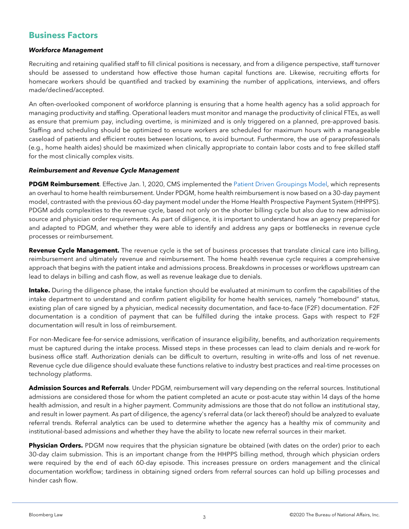#### **Business Factors**

#### *Workforce Management*

Recruiting and retaining qualified staff to fill clinical positions is necessary, and from a diligence perspective, staff turnover should be assessed to understand how effective those human capital functions are. Likewise, recruiting efforts for homecare workers should be quantified and tracked by examining the number of applications, interviews, and offers made/declined/accepted.

An often-overlooked component of workforce planning is ensuring that a home health agency has a solid approach for managing productivity and staffing. Operational leaders must monitor and manage the productivity of clinical FTEs, as well as ensure that premium pay, including overtime, is minimized and is only triggered on a planned, pre-approved basis. Staffing and scheduling should be optimized to ensure workers are scheduled for maximum hours with a manageable caseload of patients and efficient routes between locations, to avoid burnout. Furthermore, the use of paraprofessionals (e.g., home health aides) should be maximized when clinically appropriate to contain labor costs and to free skilled staff for the most clinically complex visits.

#### *Reimbursement and Revenue Cycle Management*

**PDGM Reimbursement**. Effective Jan. 1, 2020, CMS implemented the [Patient Driven Groupings Model,](https://www.cms.gov/Medicare/Medicare-Fee-for-Service-Payment/HomeHealthPPS/HH-PDGM) which represents an overhaul to home health reimbursement. Under PDGM, home health reimbursement is now based on a 30-day payment model, contrasted with the previous 60-day payment model under the Home Health Prospective Payment System (HHPPS). PDGM adds complexities to the revenue cycle, based not only on the shorter billing cycle but also due to new admission source and physician order requirements. As part of diligence, it is important to understand how an agency prepared for and adapted to PDGM, and whether they were able to identify and address any gaps or bottlenecks in revenue cycle processes or reimbursement.

**Revenue Cycle Management.** The revenue cycle is the set of business processes that translate clinical care into billing, reimbursement and ultimately revenue and reimbursement. The home health revenue cycle requires a comprehensive approach that begins with the patient intake and admissions process. Breakdowns in processes or workflows upstream can lead to delays in billing and cash flow, as well as revenue leakage due to denials.

**Intake.** During the diligence phase, the intake function should be evaluated at minimum to confirm the capabilities of the intake department to understand and confirm patient eligibility for home health services, namely "homebound" status, existing plan of care signed by a physician, medical necessity documentation, and face-to-face (F2F) documentation. F2F documentation is a condition of payment that can be fulfilled during the intake process. Gaps with respect to F2F documentation will result in loss of reimbursement.

For non-Medicare fee-for-service admissions, verification of insurance eligibility, benefits, and authorization requirements must be captured during the intake process. Missed steps in these processes can lead to claim denials and re-work for business office staff. Authorization denials can be difficult to overturn, resulting in write-offs and loss of net revenue. Revenue cycle due diligence should evaluate these functions relative to industry best practices and real-time processes on technology platforms.

**Admission Sources and Referrals**. Under PDGM, reimbursement will vary depending on the referral sources. Institutional admissions are considered those for whom the patient completed an acute or post-acute stay within 14 days of the home health admission, and result in a higher payment. Community admissions are those that do not follow an institutional stay, and result in lower payment. As part of diligence, the agency's referral data (or lack thereof) should be analyzed to evaluate referral trends. Referral analytics can be used to determine whether the agency has a healthy mix of community and institutional-based admissions and whether they have the ability to locate new referral sources in their market.

**Physician Orders.** PDGM now requires that the physician signature be obtained (with dates on the order) prior to each 30-day claim submission. This is an important change from the HHPPS billing method, through which physician orders were required by the end of each 60-day episode. This increases pressure on orders management and the clinical documentation workflow; tardiness in obtaining signed orders from referral sources can hold up billing processes and hinder cash flow.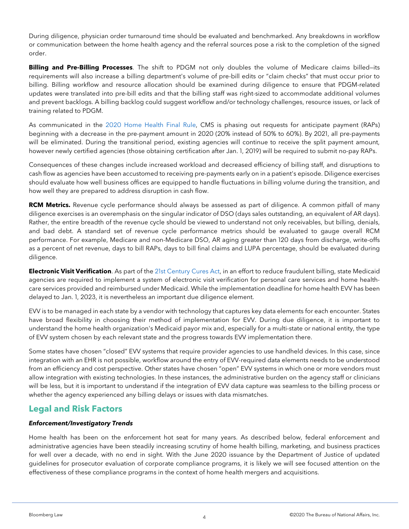During diligence, physician order turnaround time should be evaluated and benchmarked. Any breakdowns in workflow or communication between the home health agency and the referral sources pose a risk to the completion of the signed order.

**Billing and Pre-Billing Processes**. The shift to PDGM not only doubles the volume of Medicare claims billed—its requirements will also increase a billing department's volume of pre-bill edits or "claim checks" that must occur prior to billing. Billing workflow and resource allocation should be examined during diligence to ensure that PDGM-related updates were translated into pre-bill edits and that the billing staff was right-sized to accommodate additional volumes and prevent backlogs. A billing backlog could suggest workflow and/or technology challenges, resource issues, or lack of training related to PDGM.

As communicated in the [2020 Home Health Final Rule,](https://www.federalregister.gov/documents/2019/11/08/2019-24026/medicare-and-medicaid-programs-cy-2020-home-health-prospective-payment-system-rate-update-home) CMS is phasing out requests for anticipate payment (RAPs) beginning with a decrease in the pre-payment amount in 2020 (20% instead of 50% to 60%). By 2021, all pre-payments will be eliminated. During the transitional period, existing agencies will continue to receive the split payment amount, however newly certified agencies (those obtaining certification after Jan. 1, 2019) will be required to submit no-pay RAPs.

Consequences of these changes include increased workload and decreased efficiency of billing staff, and disruptions to cash flow as agencies have been accustomed to receiving pre-payments early on in a patient's episode. Diligence exercises should evaluate how well business offices are equipped to handle fluctuations in billing volume during the transition, and how well they are prepared to address disruption in cash flow.

**RCM Metrics.** Revenue cycle performance should always be assessed as part of diligence. A common pitfall of many diligence exercises is an overemphasis on the singular indicator of DSO (days sales outstanding, an equivalent of AR days). Rather, the entire breadth of the revenue cycle should be viewed to understand not only receivables, but billing, denials, and bad debt. A standard set of revenue cycle performance metrics should be evaluated to gauge overall RCM performance. For example, Medicare and non-Medicare DSO, AR aging greater than 120 days from discharge, write-offs as a percent of net revenue, days to bill RAPs, days to bill final claims and LUPA percentage, should be evaluated during diligence.

**Electronic Visit Verification**. As part of the [21st Century Cures Act,](https://www.medicaid.gov/medicaid/home-community-based-services/guidance/electronic-visit-verification-evv/index.html) in an effort to reduce fraudulent billing, state Medicaid agencies are required to implement a system of electronic visit verification for personal care services and home healthcare services provided and reimbursed under Medicaid. While the implementation deadline for home health EVV has been delayed to Jan. 1, 2023, it is nevertheless an important due diligence element.

EVV is to be managed in each state by a vendor with technology that captures key data elements for each encounter. States have broad flexibility in choosing their method of implementation for EVV. During due diligence, it is important to understand the home health organization's Medicaid payor mix and, especially for a multi-state or national entity, the type of EVV system chosen by each relevant state and the progress towards EVV implementation there.

Some states have chosen "closed" EVV systems that require provider agencies to use handheld devices. In this case, since integration with an EHR is not possible, workflow around the entry of EVV-required data elements needs to be understood from an efficiency and cost perspective. Other states have chosen "open" EVV systems in which one or more vendors must allow integration with existing technologies. In these instances, the administrative burden on the agency staff or clinicians will be less, but it is important to understand if the integration of EVV data capture was seamless to the billing process or whether the agency experienced any billing delays or issues with data mismatches.

#### **Legal and Risk Factors**

#### *Enforcement/Investigatory Trends*

Home health has been on the enforcement hot seat for many years. As described below, federal enforcement and administrative agencies have been steadily increasing scrutiny of home health billing, marketing, and business practices for well over a decade, with no end in sight. With the June 2020 issuance by the Department of Justice of updated guidelines for prosecutor evaluation of corporate compliance programs, it is likely we will see focused attention on the effectiveness of these compliance programs in the context of home health mergers and acquisitions.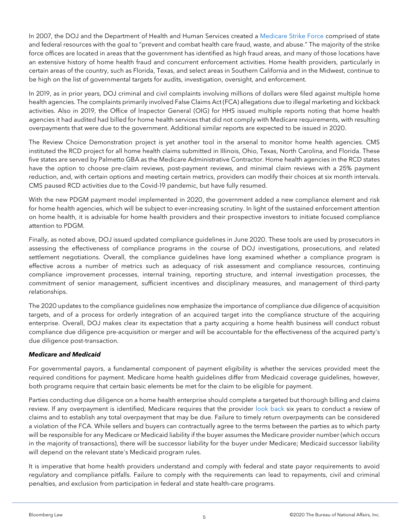In 2007, the DOJ and the Department of Health and Human Services created a [Medicare Strike Force](https://www.justice.gov/criminal-fraud/strike-force-operations) comprised of state and federal resources with the goal to "prevent and combat health care fraud, waste, and abuse." The majority of the strike force offices are located in areas that the government has identified as high fraud areas, and many of those locations have an extensive history of home health fraud and concurrent enforcement activities. Home health providers, particularly in certain areas of the country, such as Florida, Texas, and select areas in Southern California and in the Midwest, continue to be high on the list of governmental targets for audits, investigation, oversight, and enforcement.

In 2019, as in prior years, DOJ criminal and civil complaints involving millions of dollars were filed against multiple home health agencies. The complaints primarily involved False Claims Act (FCA) allegations due to illegal marketing and kickback activities. Also in 2019, the Office of Inspector General (OIG) for HHS issued multiple reports noting that home health agencies it had audited had billed for home health services that did not comply with Medicare requirements, with resulting overpayments that were due to the government. Additional similar reports are expected to be issued in 2020.

The Review Choice Demonstration project is yet another tool in the arsenal to monitor home health agencies. CMS instituted the RCD project for all home health claims submitted in Illinois, Ohio, Texas, North Carolina, and Florida. These five states are served by Palmetto GBA as the Medicare Administrative Contractor. Home health agencies in the RCD states have the option to choose pre-claim reviews, post-payment reviews, and minimal claim reviews with a 25% payment reduction, and, with certain options and meeting certain metrics, providers can modify their choices at six month intervals. CMS paused RCD activities due to the Covid-19 pandemic, but have fully resumed.

With the new PDGM payment model implemented in 2020, the government added a new compliance element and risk for home health agencies, which will be subject to ever-increasing scrutiny. In light of the sustained enforcement attention on home health, it is advisable for home health providers and their prospective investors to initiate focused compliance attention to PDGM.

Finally, as noted above, DOJ issued updated compliance guidelines in June 2020. These tools are used by prosecutors in assessing the effectiveness of compliance programs in the course of DOJ investigations, prosecutions, and related settlement negotiations. Overall, the compliance guidelines have long examined whether a compliance program is effective across a number of metrics such as adequacy of risk assessment and compliance resources, continuing compliance improvement processes, internal training, reporting structure, and internal investigation processes, the commitment of senior management, sufficient incentives and disciplinary measures, and management of third-party relationships.

The 2020 updates to the compliance guidelines now emphasize the importance of compliance due diligence of acquisition targets, and of a process for orderly integration of an acquired target into the compliance structure of the acquiring enterprise. Overall, DOJ makes clear its expectation that a party acquiring a home health business will conduct robust compliance due diligence pre-acquisition or merger and will be accountable for the effectiveness of the acquired party's due diligence post-transaction.

#### *Medicare and Medicaid*

For governmental payors, a fundamental component of payment eligibility is whether the services provided meet the required conditions for payment. Medicare home health guidelines differ from Medicaid coverage guidelines, however, both programs require that certain basic elements be met for the claim to be eligible for payment.

Parties conducting due diligence on a home health enterprise should complete a targeted but thorough billing and claims review. If any overpayment is identified, Medicare requires that the provider [look back](https://www.ecfr.gov/cgi-bin/text-idx?SID=30e5f4c88c3791c8b2e68dcba4af017e&mc=true&node=se42.2.401_1305&rgn=div8) six years to conduct a review of claims and to establish any total overpayment that may be due. Failure to timely return overpayments can be considered a violation of the FCA. While sellers and buyers can contractually agree to the terms between the parties as to which party will be responsible for any Medicare or Medicaid liability if the buyer assumes the Medicare provider number (which occurs in the majority of transactions), there will be successor liability for the buyer under Medicare; Medicaid successor liability will depend on the relevant state's Medicaid program rules.

It is imperative that home health providers understand and comply with federal and state payor requirements to avoid regulatory and compliance pitfalls. Failure to comply with the requirements can lead to repayments, civil and criminal penalties, and exclusion from participation in federal and state health-care programs.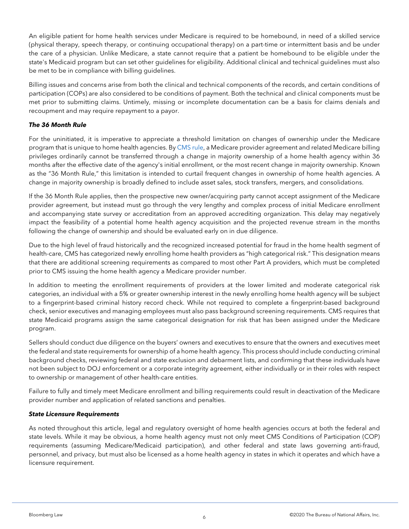An eligible patient for home health services under Medicare is required to be homebound, in need of a skilled service (physical therapy, speech therapy, or continuing occupational therapy) on a part-time or intermittent basis and be under the care of a physician. Unlike Medicare, a state cannot require that a patient be homebound to be eligible under the state's Medicaid program but can set other guidelines for eligibility. Additional clinical and technical guidelines must also be met to be in compliance with billing guidelines.

Billing issues and concerns arise from both the clinical and technical components of the records, and certain conditions of participation (COPs) are also considered to be conditions of payment. Both the technical and clinical components must be met prior to submitting claims. Untimely, missing or incomplete documentation can be a basis for claims denials and recoupment and may require repayment to a payor.

#### *The 36 Month Rule*

For the uninitiated, it is imperative to appreciate a threshold limitation on changes of ownership under the Medicare program that is unique to home health agencies. By [CMS rule,](https://www.law.cornell.edu/cfr/text/42/424.550) a Medicare provider agreement and related Medicare billing privileges ordinarily cannot be transferred through a change in majority ownership of a home health agency within 36 months after the effective date of the agency's initial enrollment, or the most recent change in majority ownership. Known as the "36 Month Rule," this limitation is intended to curtail frequent changes in ownership of home health agencies. A change in majority ownership is broadly defined to include asset sales, stock transfers, mergers, and consolidations.

If the 36 Month Rule applies, then the prospective new owner/acquiring party cannot accept assignment of the Medicare provider agreement, but instead must go through the very lengthy and complex process of initial Medicare enrollment and accompanying state survey or accreditation from an approved accrediting organization. This delay may negatively impact the feasibility of a potential home health agency acquisition and the projected revenue stream in the months following the change of ownership and should be evaluated early on in due diligence.

Due to the high level of fraud historically and the recognized increased potential for fraud in the home health segment of health-care, CMS has categorized newly enrolling home health providers as "high categorical risk." This designation means that there are additional screening requirements as compared to most other Part A providers, which must be completed prior to CMS issuing the home health agency a Medicare provider number.

In addition to meeting the enrollment requirements of providers at the lower limited and moderate categorical risk categories, an individual with a 5% or greater ownership interest in the newly enrolling home health agency will be subject to a fingerprint-based criminal history record check. While not required to complete a fingerprint-based background check, senior executives and managing employees must also pass background screening requirements. CMS requires that state Medicaid programs assign the same categorical designation for risk that has been assigned under the Medicare program.

Sellers should conduct due diligence on the buyers' owners and executives to ensure that the owners and executives meet the federal and state requirements for ownership of a home health agency. This process should include conducting criminal background checks, reviewing federal and state exclusion and debarment lists, and confirming that these individuals have not been subject to DOJ enforcement or a corporate integrity agreement, either individually or in their roles with respect to ownership or management of other health-care entities.

Failure to fully and timely meet Medicare enrollment and billing requirements could result in deactivation of the Medicare provider number and application of related sanctions and penalties.

#### *State Licensure Requirements*

As noted throughout this article, legal and regulatory oversight of home health agencies occurs at both the federal and state levels. While it may be obvious, a home health agency must not only meet CMS Conditions of Participation (COP) requirements (assuming Medicare/Medicaid participation), and other federal and state laws governing anti-fraud, personnel, and privacy, but must also be licensed as a home health agency in states in which it operates and which have a licensure requirement.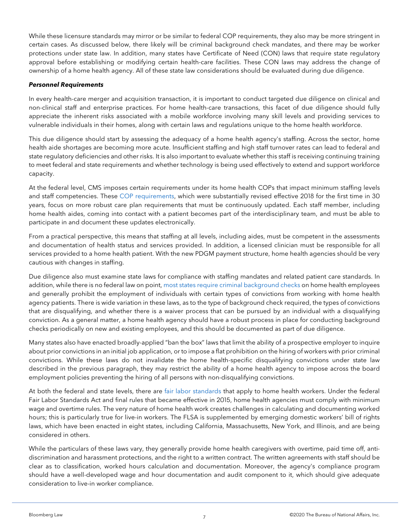While these licensure standards may mirror or be similar to federal COP requirements, they also may be more stringent in certain cases. As discussed below, there likely will be criminal background check mandates, and there may be worker protections under state law. In addition, many states have Certificate of Need (CON) laws that require state regulatory approval before establishing or modifying certain health-care facilities. These CON laws may address the change of ownership of a home health agency. All of these state law considerations should be evaluated during due diligence.

#### *Personnel Requirements*

In every health-care merger and acquisition transaction, it is important to conduct targeted due diligence on clinical and non-clinical staff and enterprise practices. For home health-care transactions, this facet of due diligence should fully appreciate the inherent risks associated with a mobile workforce involving many skill levels and providing services to vulnerable individuals in their homes, along with certain laws and regulations unique to the home health workforce.

This due diligence should start by assessing the adequacy of a home health agency's staffing. Across the sector, home health aide shortages are becoming more acute. Insufficient staffing and high staff turnover rates can lead to federal and state regulatory deficiencies and other risks. It is also important to evaluate whether this staff is receiving continuing training to meet federal and state requirements and whether technology is being used effectively to extend and support workforce capacity.

At the federal level, CMS imposes certain requirements under its home health COPs that impact minimum staffing levels and staff competencies. These [COP requirements,](https://www.cms.gov/Medicare/Provider-Enrollment-and-Certification/SurveyCertificationGenInfo/Downloads/QSO18-25-HHA.pdf) which were substantially revised effective 2018 for the first time in 30 years, focus on more robust care plan requirements that must be continuously updated. Each staff member, including home health aides, coming into contact with a patient becomes part of the interdisciplinary team, and must be able to participate in and document these updates electronically.

From a practical perspective, this means that staffing at all levels, including aides, must be competent in the assessments and documentation of health status and services provided. In addition, a licensed clinician must be responsible for all services provided to a home health patient. With the new PDGM payment structure, home health agencies should be very cautious with changes in staffing.

Due diligence also must examine state laws for compliance with staffing mandates and related patient care standards. In addition, while there is no federal law on point, [most states require criminal background checks](https://oig.hhs.gov/oei/reports/oei-07-14-00131.pdf) on home health employees and generally prohibit the employment of individuals with certain types of convictions from working with home health agency patients. There is wide variation in these laws, as to the type of background check required, the types of convictions that are disqualifying, and whether there is a waiver process that can be pursued by an individual with a disqualifying conviction. As a general matter, a home health agency should have a robust process in place for conducting background checks periodically on new and existing employees, and this should be documented as part of due diligence.

Many states also have enacted broadly-applied "ban the box" laws that limit the ability of a prospective employer to inquire about prior convictions in an initial job application, or to impose a flat prohibition on the hiring of workers with prior criminal convictions. While these laws do not invalidate the home health-specific disqualifying convictions under state law described in the previous paragraph, they may restrict the ability of a home health agency to impose across the board employment policies preventing the hiring of all persons with non-disqualifying convictions.

At both the federal and state levels, there are [fair labor standards](https://www.dol.gov/agencies/whd/direct-care) that apply to home health workers. Under the federal Fair Labor Standards Act and final rules that became effective in 2015, home health agencies must comply with minimum wage and overtime rules. The very nature of home health work creates challenges in calculating and documenting worked hours; this is particularly true for live-in workers. The FLSA is supplemented by emerging domestic workers' bill of rights laws, which have been enacted in eight states, including California, Massachusetts, New York, and Illinois, and are being considered in others.

While the particulars of these laws vary, they generally provide home health caregivers with overtime, paid time off, antidiscrimination and harassment protections, and the right to a written contract. The written agreements with staff should be clear as to classification, worked hours calculation and documentation. Moreover, the agency's compliance program should have a well-developed wage and hour documentation and audit component to it, which should give adequate consideration to live-in worker compliance.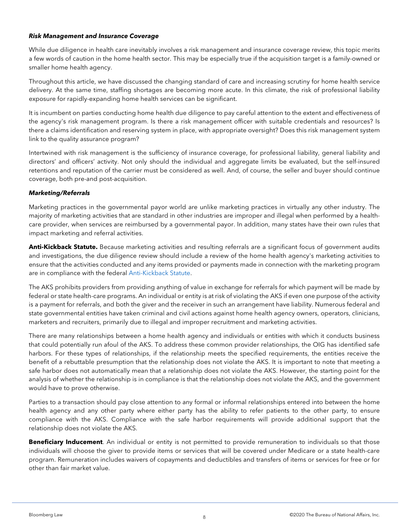#### *Risk Management and Insurance Coverage*

While due diligence in health care inevitably involves a risk management and insurance coverage review, this topic merits a few words of caution in the home health sector. This may be especially true if the acquisition target is a family-owned or smaller home health agency.

Throughout this article, we have discussed the changing standard of care and increasing scrutiny for home health service delivery. At the same time, staffing shortages are becoming more acute. In this climate, the risk of professional liability exposure for rapidly-expanding home health services can be significant.

It is incumbent on parties conducting home health due diligence to pay careful attention to the extent and effectiveness of the agency's risk management program. Is there a risk management officer with suitable credentials and resources? Is there a claims identification and reserving system in place, with appropriate oversight? Does this risk management system link to the quality assurance program?

Intertwined with risk management is the sufficiency of insurance coverage, for professional liability, general liability and directors' and officers' activity. Not only should the individual and aggregate limits be evaluated, but the self-insured retentions and reputation of the carrier must be considered as well. And, of course, the seller and buyer should continue coverage, both pre-and post-acquisition.

#### *Marketing/Referrals*

Marketing practices in the governmental payor world are unlike marketing practices in virtually any other industry. The majority of marketing activities that are standard in other industries are improper and illegal when performed by a healthcare provider, when services are reimbursed by a governmental payor. In addition, many states have their own rules that impact marketing and referral activities.

**Anti-Kickback Statute.** Because marketing activities and resulting referrals are a significant focus of government audits and investigations, the due diligence review should include a review of the home health agency's marketing activities to ensure that the activities conducted and any items provided or payments made in connection with the marketing program are in compliance with the federal [Anti-Kickback Statute.](https://www.ssa.gov/OP_Home/ssact/title11/1128B.htm)

The AKS prohibits providers from providing anything of value in exchange for referrals for which payment will be made by federal or state health-care programs. An individual or entity is at risk of violating the AKS if even one purpose of the activity is a payment for referrals, and both the giver and the receiver in such an arrangement have liability. Numerous federal and state governmental entities have taken criminal and civil actions against home health agency owners, operators, clinicians, marketers and recruiters, primarily due to illegal and improper recruitment and marketing activities.

There are many relationships between a home health agency and individuals or entities with which it conducts business that could potentially run afoul of the AKS. To address these common provider relationships, the OIG has identified safe harbors. For these types of relationships, if the relationship meets the specified requirements, the entities receive the benefit of a rebuttable presumption that the relationship does not violate the AKS. It is important to note that meeting a safe harbor does not automatically mean that a relationship does not violate the AKS. However, the starting point for the analysis of whether the relationship is in compliance is that the relationship does not violate the AKS, and the government would have to prove otherwise.

Parties to a transaction should pay close attention to any formal or informal relationships entered into between the home health agency and any other party where either party has the ability to refer patients to the other party, to ensure compliance with the AKS. Compliance with the safe harbor requirements will provide additional support that the relationship does not violate the AKS.

**Beneficiary Inducement**. An individual or entity is not permitted to provide remuneration to individuals so that those individuals will choose the giver to provide items or services that will be covered under Medicare or a state health-care program. Remuneration includes waivers of copayments and deductibles and transfers of items or services for free or for other than fair market value.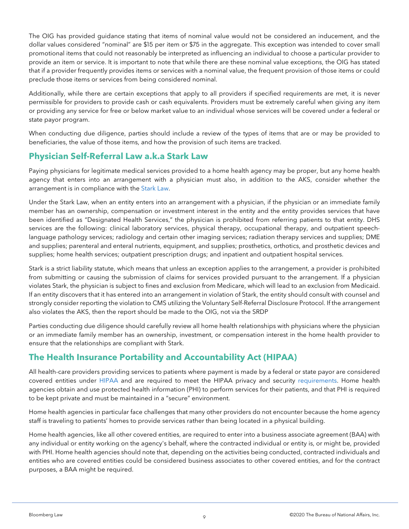The OIG has provided guidance stating that items of nominal value would not be considered an inducement, and the dollar values considered "nominal" are \$15 per item or \$75 in the aggregate. This exception was intended to cover small promotional items that could not reasonably be interpreted as influencing an individual to choose a particular provider to provide an item or service. It is important to note that while there are these nominal value exceptions, the OIG has stated that if a provider frequently provides items or services with a nominal value, the frequent provision of those items or could preclude those items or services from being considered nominal.

Additionally, while there are certain exceptions that apply to all providers if specified requirements are met, it is never permissible for providers to provide cash or cash equivalents. Providers must be extremely careful when giving any item or providing any service for free or below market value to an individual whose services will be covered under a federal or state payor program.

When conducting due diligence, parties should include a review of the types of items that are or may be provided to beneficiaries, the value of those items, and how the provision of such items are tracked.

#### **Physician Self-Referral Law a.k.a Stark Law**

Paying physicians for legitimate medical services provided to a home health agency may be proper, but any home health agency that enters into an arrangement with a physician must also, in addition to the AKS, consider whether the arrangement is in compliance with the [Stark Law.](https://www.govinfo.gov/content/pkg/CFR-2017-title42-vol2/pdf/CFR-2017-title42-vol2-part411-subpartJ.pdf)

Under the Stark Law, when an entity enters into an arrangement with a physician, if the physician or an immediate family member has an ownership, compensation or investment interest in the entity and the entity provides services that have been identified as "Designated Health Services," the physician is prohibited from referring patients to that entity. DHS services are the following: clinical laboratory services, physical therapy, occupational therapy, and outpatient speechlanguage pathology services; radiology and certain other imaging services; radiation therapy services and supplies; DME and supplies; parenteral and enteral nutrients, equipment, and supplies; prosthetics, orthotics, and prosthetic devices and supplies; home health services; outpatient prescription drugs; and inpatient and outpatient hospital services.

Stark is a strict liability statute, which means that unless an exception applies to the arrangement, a provider is prohibited from submitting or causing the submission of claims for services provided pursuant to the arrangement. If a physician violates Stark, the physician is subject to fines and exclusion from Medicare, which will lead to an exclusion from Medicaid. If an entity discovers that it has entered into an arrangement in violation of Stark, the entity should consult with counsel and strongly consider reporting the violation to CMS utilizing the Voluntary Self-Referral Disclosure Protocol. If the arrangement also violates the AKS, then the report should be made to the OIG, not via the SRDP

Parties conducting due diligence should carefully review all home health relationships with physicians where the physician or an immediate family member has an ownership, investment, or compensation interest in the home health provider to ensure that the relationships are compliant with Stark.

#### **The Health Insurance Portability and Accountability Act (HIPAA)**

All health-care providers providing services to patients where payment is made by a federal or state payor are considered covered entities under [HIPAA](https://aspe.hhs.gov/report/health-insurance-portability-and-accountability-act-1996) and are required to meet the HIPAA privacy and security [requirements.](https://www.ecfr.gov/cgi-bin/text-idx?SID=6a98f593395b29c79320ec5de0bbf5e9&mc=true&tpl=/ecfrbrowse/Title45/45CsubchapC.tpl) Home health agencies obtain and use protected health information (PHI) to perform services for their patients, and that PHI is required to be kept private and must be maintained in a "secure" environment.

Home health agencies in particular face challenges that many other providers do not encounter because the home agency staff is traveling to patients' homes to provide services rather than being located in a physical building.

Home health agencies, like all other covered entities, are required to enter into a business associate agreement (BAA) with any individual or entity working on the agency's behalf, where the contracted individual or entity is, or might be, provided with PHI. Home health agencies should note that, depending on the activities being conducted, contracted individuals and entities who are covered entities could be considered business associates to other covered entities, and for the contract purposes, a BAA might be required.